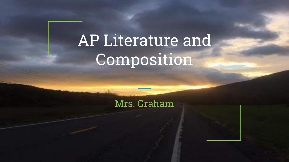# AP Literature and **Composition**

Mrs. Graham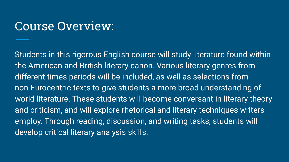#### Course Overview:

Students in this rigorous English course will study literature found within the American and British literary canon. Various literary genres from different times periods will be included, as well as selections from non-Eurocentric texts to give students a more broad understanding of world literature. These students will become conversant in literary theory and criticism, and will explore rhetorical and literary techniques writers employ. Through reading, discussion, and writing tasks, students will develop critical literary analysis skills.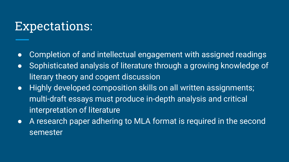### Expectations:

- Completion of and intellectual engagement with assigned readings
- Sophisticated analysis of literature through a growing knowledge of literary theory and cogent discussion
- Highly developed composition skills on all written assignments; multi-draft essays must produce in-depth analysis and critical interpretation of literature
- A research paper adhering to MLA format is required in the second semester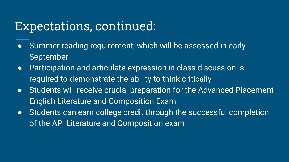#### Expectations, continued:

- Summer reading requirement, which will be assessed in early September
- Participation and articulate expression in class discussion is required to demonstrate the ability to think critically
- Students will receive crucial preparation for the Advanced Placement English Literature and Composition Exam
- Students can earn college credit through the successful completion of the AP Literature and Composition exam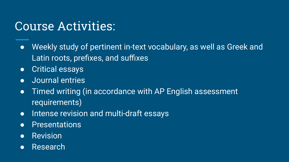## Course Activities:

- Weekly study of pertinent in-text vocabulary, as well as Greek and Latin roots, prefixes, and suffixes
- Critical essays
- Journal entries
- Timed writing (in accordance with AP English assessment requirements)
- Intense revision and multi-draft essays
- Presentations
- Revision
- Research